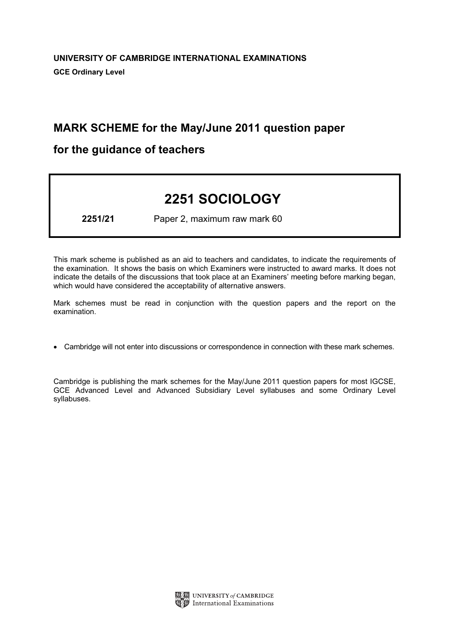# MARK SCHEME for the May/June 2011 question paper

# for the guidance of teachers

# 2251 SOCIOLOGY

2251/21 Paper 2, maximum raw mark 60

This mark scheme is published as an aid to teachers and candidates, to indicate the requirements of the examination. It shows the basis on which Examiners were instructed to award marks. It does not indicate the details of the discussions that took place at an Examiners' meeting before marking began, which would have considered the acceptability of alternative answers.

Mark schemes must be read in conjunction with the question papers and the report on the examination.

*•* Cambridge will not enter into discussions or correspondence in connection with these mark schemes.

Cambridge is publishing the mark schemes for the May/June 2011 question papers for most IGCSE, GCE Advanced Level and Advanced Subsidiary Level syllabuses and some Ordinary Level syllabuses.

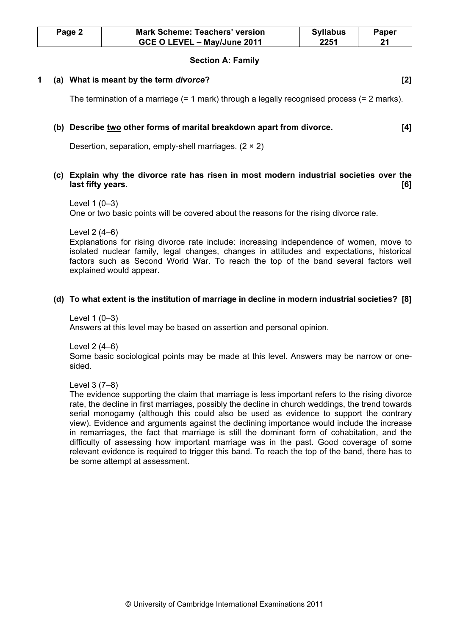| Page 2 | <b>Mark Scheme: Teachers' version</b> | <b>Syllabus</b> | Paper |
|--------|---------------------------------------|-----------------|-------|
|        | GCE O LEVEL - May/June 2011           | 2251            | 21    |

#### Section A: Family

#### 1 (a) What is meant by the term divorce? [2]

The termination of a marriage (= 1 mark) through a legally recognised process (= 2 marks).

#### (b) Describe two other forms of marital breakdown apart from divorce. [4]

Desertion, separation, empty-shell marriages. (2 × 2)

### (c) Explain why the divorce rate has risen in most modern industrial societies over the last fifty years. [6]

One or two basic points will be covered about the reasons for the rising divorce rate.

Level 2 (4–6)

Explanations for rising divorce rate include: increasing independence of women, move to isolated nuclear family, legal changes, changes in attitudes and expectations, historical factors such as Second World War. To reach the top of the band several factors well explained would appear.

#### (d) To what extent is the institution of marriage in decline in modern industrial societies? [8]

Level 1 (0–3) Answers at this level may be based on assertion and personal opinion.

Level 2 (4–6)

Some basic sociological points may be made at this level. Answers may be narrow or onesided.

Level 3 (7–8)

The evidence supporting the claim that marriage is less important refers to the rising divorce rate, the decline in first marriages, possibly the decline in church weddings, the trend towards serial monogamy (although this could also be used as evidence to support the contrary view). Evidence and arguments against the declining importance would include the increase in remarriages, the fact that marriage is still the dominant form of cohabitation, and the difficulty of assessing how important marriage was in the past. Good coverage of some relevant evidence is required to trigger this band. To reach the top of the band, there has to be some attempt at assessment.

Level 1 (0–3)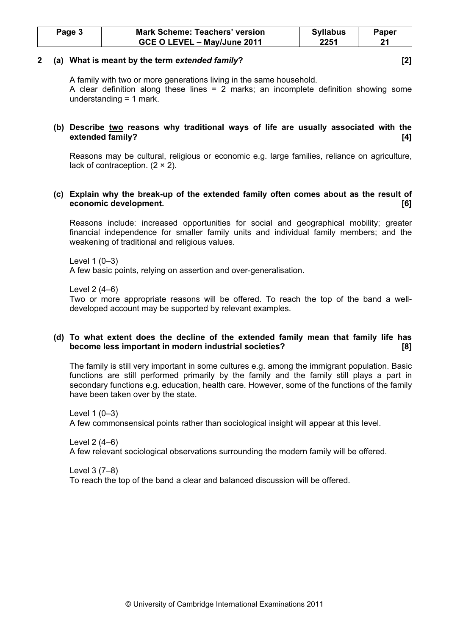| Page 3 | <b>Mark Scheme: Teachers' version</b> | <b>Syllabus</b> | Paper |
|--------|---------------------------------------|-----------------|-------|
|        | GCE O LEVEL - May/June 2011           | 2251            |       |

#### 2 (a) What is meant by the term extended family? [2]

A family with two or more generations living in the same household. A clear definition along these lines = 2 marks; an incomplete definition showing some understanding = 1 mark.

# (b) Describe two reasons why traditional ways of life are usually associated with the extended family? [4]

Reasons may be cultural, religious or economic e.g. large families, reliance on agriculture, lack of contraception.  $(2 \times 2)$ .

# (c) Explain why the break-up of the extended family often comes about as the result of economic development. [6]

Reasons include: increased opportunities for social and geographical mobility; greater financial independence for smaller family units and individual family members; and the weakening of traditional and religious values.

Level 1 (0–3) A few basic points, relying on assertion and over-generalisation.

Level 2 (4–6)

Two or more appropriate reasons will be offered. To reach the top of the band a welldeveloped account may be supported by relevant examples.

# (d) To what extent does the decline of the extended family mean that family life has become less important in modern industrial societies? [8]

The family is still very important in some cultures e.g. among the immigrant population. Basic functions are still performed primarily by the family and the family still plays a part in secondary functions e.g. education, health care. However, some of the functions of the family have been taken over by the state.

Level 1 (0–3) A few commonsensical points rather than sociological insight will appear at this level.

Level 2 (4–6) A few relevant sociological observations surrounding the modern family will be offered.

Level 3 (7–8) To reach the top of the band a clear and balanced discussion will be offered.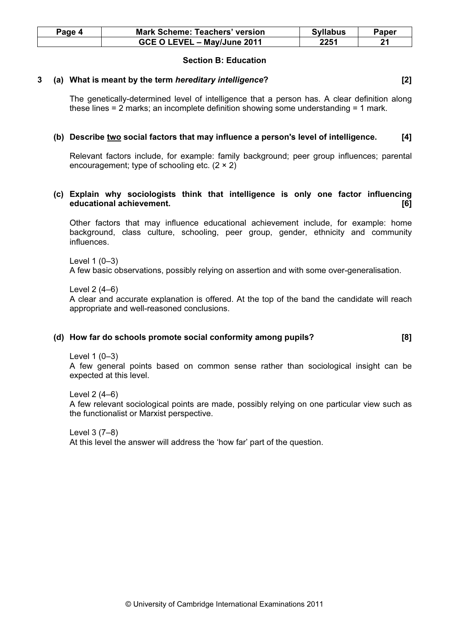| Page 4 | <b>Mark Scheme: Teachers' version</b> | <b>Syllabus</b> | Paper |
|--------|---------------------------------------|-----------------|-------|
|        | GCE O LEVEL - May/June 2011           | 2251            |       |

# Section B: Education

#### 3 (a) What is meant by the term hereditary intelligence? [2]

The genetically-determined level of intelligence that a person has. A clear definition along these lines = 2 marks; an incomplete definition showing some understanding = 1 mark.

# (b) Describe two social factors that may influence a person's level of intelligence. [4]

Relevant factors include, for example: family background; peer group influences; parental encouragement; type of schooling etc.  $(2 \times 2)$ 

# (c) Explain why sociologists think that intelligence is only one factor influencing educational achievement. [6]

Other factors that may influence educational achievement include, for example: home background, class culture, schooling, peer group, gender, ethnicity and community influences.

Level 1 (0–3) A few basic observations, possibly relying on assertion and with some over-generalisation.

Level 2 (4–6) A clear and accurate explanation is offered. At the top of the band the candidate will reach appropriate and well-reasoned conclusions.

#### (d) How far do schools promote social conformity among pupils? [8]

Level 1 (0–3)

A few general points based on common sense rather than sociological insight can be expected at this level.

Level 2 (4–6) A few relevant sociological points are made, possibly relying on one particular view such as the functionalist or Marxist perspective.

Level 3 (7–8) At this level the answer will address the 'how far' part of the question.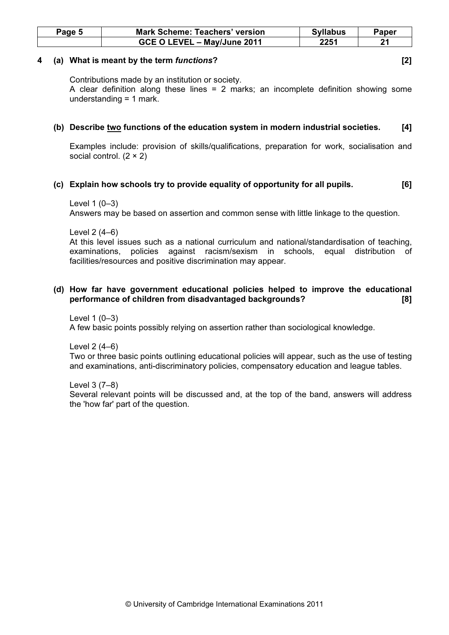| Page 5 | <b>Mark Scheme: Teachers' version</b> | <b>Syllabus</b> | Paper |
|--------|---------------------------------------|-----------------|-------|
|        | GCE O LEVEL - May/June 2011           | 2251            | ີ     |

#### 4 (a) What is meant by the term functions? [2]

Contributions made by an institution or society.

A clear definition along these lines = 2 marks; an incomplete definition showing some understanding = 1 mark.

# (b) Describe two functions of the education system in modern industrial societies. [4]

Examples include: provision of skills/qualifications, preparation for work, socialisation and social control. (2 × 2)

# (c) Explain how schools try to provide equality of opportunity for all pupils. [6]

### Level 1 (0–3)

Answers may be based on assertion and common sense with little linkage to the question.

Level 2 (4–6)

At this level issues such as a national curriculum and national/standardisation of teaching, examinations, policies against racism/sexism in schools, equal distribution of facilities/resources and positive discrimination may appear.

# (d) How far have government educational policies helped to improve the educational performance of children from disadvantaged backgrounds? [8]

Level 1 (0–3) A few basic points possibly relying on assertion rather than sociological knowledge.

Level 2 (4–6)

Two or three basic points outlining educational policies will appear, such as the use of testing and examinations, anti-discriminatory policies, compensatory education and league tables.

Level 3 (7–8)

Several relevant points will be discussed and, at the top of the band, answers will address the 'how far' part of the question.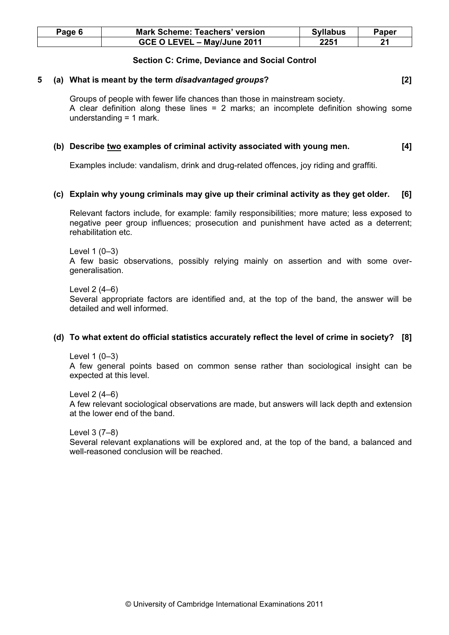| Page 6 | <b>Mark Scheme: Teachers' version</b> | <b>Syllabus</b> | Paper |
|--------|---------------------------------------|-----------------|-------|
|        | GCE O LEVEL - May/June 2011           | 2251            | 21    |

### Section C: Crime, Deviance and Social Control

#### 5 (a) What is meant by the term disadvantaged groups? [2]

Groups of people with fewer life chances than those in mainstream society. A clear definition along these lines = 2 marks; an incomplete definition showing some understanding = 1 mark.

# (b) Describe two examples of criminal activity associated with young men. [4]

Examples include: vandalism, drink and drug-related offences, joy riding and graffiti.

### (c) Explain why young criminals may give up their criminal activity as they get older. [6]

Relevant factors include, for example: family responsibilities; more mature; less exposed to negative peer group influences; prosecution and punishment have acted as a deterrent; rehabilitation etc.

Level 1 (0–3) A few basic observations, possibly relying mainly on assertion and with some overgeneralisation.

Level 2 (4–6) Several appropriate factors are identified and, at the top of the band, the answer will be detailed and well informed.

#### (d) To what extent do official statistics accurately reflect the level of crime in society? [8]

Level 1 (0–3)

A few general points based on common sense rather than sociological insight can be expected at this level.

Level 2 (4–6) A few relevant sociological observations are made, but answers will lack depth and extension at the lower end of the band.

Level 3 (7–8)

Several relevant explanations will be explored and, at the top of the band, a balanced and well-reasoned conclusion will be reached.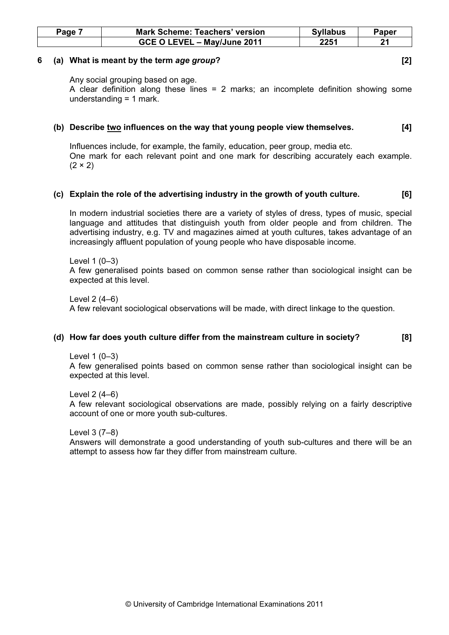| Page | <b>Mark Scheme: Teachers' version</b> | <b>Syllabus</b> | Paper |
|------|---------------------------------------|-----------------|-------|
|      | GCE O LEVEL - May/June 2011           | 2251            |       |

#### 6 (a) What is meant by the term age group? [2]

Any social grouping based on age.

A clear definition along these lines = 2 marks; an incomplete definition showing some understanding = 1 mark.

### (b) Describe two influences on the way that young people view themselves. [4]

Influences include, for example, the family, education, peer group, media etc. One mark for each relevant point and one mark for describing accurately each example.  $(2 \times 2)$ 

### (c) Explain the role of the advertising industry in the growth of youth culture. [6]

In modern industrial societies there are a variety of styles of dress, types of music, special language and attitudes that distinguish youth from older people and from children. The advertising industry, e.g. TV and magazines aimed at youth cultures, takes advantage of an increasingly affluent population of young people who have disposable income.

Level 1 (0–3) A few generalised points based on common sense rather than sociological insight can be expected at this level.

Level 2 (4–6) A few relevant sociological observations will be made, with direct linkage to the question.

# (d) How far does youth culture differ from the mainstream culture in society? [8]

Level 1 (0–3)

A few generalised points based on common sense rather than sociological insight can be expected at this level.

Level 2 (4–6) A few relevant sociological observations are made, possibly relying on a fairly descriptive account of one or more youth sub-cultures.

Level 3 (7–8)

Answers will demonstrate a good understanding of youth sub-cultures and there will be an attempt to assess how far they differ from mainstream culture.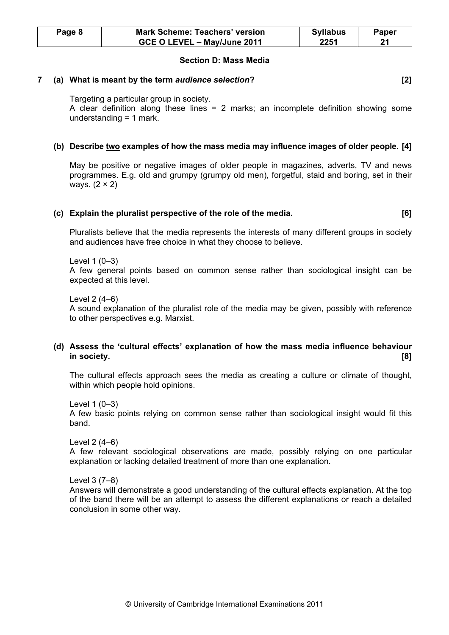| Page 8 | <b>Mark Scheme: Teachers' version</b> | <b>Syllabus</b> | Paper |
|--------|---------------------------------------|-----------------|-------|
|        | GCE O LEVEL - May/June 2011           | 2251            | 94    |

#### Section D: Mass Media

### 7 (a) What is meant by the term audience selection? [2]

Targeting a particular group in society.

A clear definition along these lines = 2 marks; an incomplete definition showing some understanding = 1 mark.

# (b) Describe two examples of how the mass media may influence images of older people. [4]

May be positive or negative images of older people in magazines, adverts, TV and news programmes. E.g. old and grumpy (grumpy old men), forgetful, staid and boring, set in their ways.  $(2 \times 2)$ 

#### (c) Explain the pluralist perspective of the role of the media. [6]

Pluralists believe that the media represents the interests of many different groups in society and audiences have free choice in what they choose to believe.

Level 1 (0–3)

A few general points based on common sense rather than sociological insight can be expected at this level.

Level 2 (4–6)

A sound explanation of the pluralist role of the media may be given, possibly with reference to other perspectives e.g. Marxist.

# (d) Assess the 'cultural effects' explanation of how the mass media influence behaviour in society. [8]

The cultural effects approach sees the media as creating a culture or climate of thought, within which people hold opinions.

Level 1 (0–3)

A few basic points relying on common sense rather than sociological insight would fit this band.

Level 2 (4–6)

A few relevant sociological observations are made, possibly relying on one particular explanation or lacking detailed treatment of more than one explanation.

Level 3 (7–8)

Answers will demonstrate a good understanding of the cultural effects explanation. At the top of the band there will be an attempt to assess the different explanations or reach a detailed conclusion in some other way.